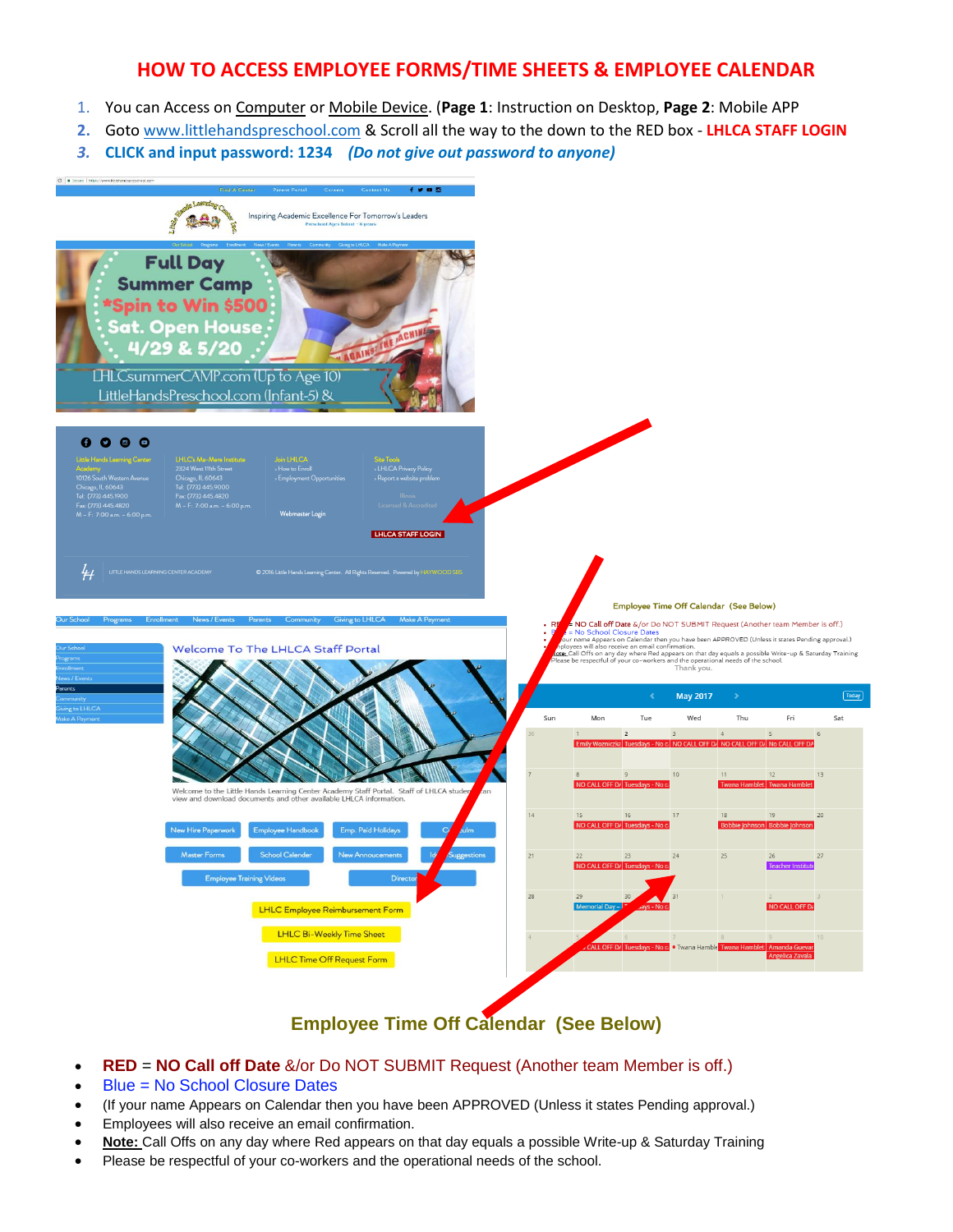## **HOW TO ACCESS EMPLOYEE FORMS/TIME SHEETS & EMPLOYEE CALENDAR**

- 1. You can Access on Computer or Mobile Device. (**Page 1**: Instruction on Desktop, **Page 2**: Mobile APP
- **2.** Goto [www.littlehandspreschool.com](http://www.littlehandspreschool.com/) & Scroll all the way to the down to the RED box **LHLCA STAFF LOGIN**
- *3.* **CLICK and input password: 1234** *(Do not give out password to anyone)*



## **Employee Time Off Calendar (See Below)**

- **RED** = **NO Call off Date** &/or Do NOT SUBMIT Request (Another team Member is off.)
- Blue = No School Closure Dates
- (If your name Appears on Calendar then you have been APPROVED (Unless it states Pending approval.)
- Employees will also receive an email confirmation.
- **Note:** Call Offs on any day where Red appears on that day equals a possible Write-up & Saturday Training
- Please be respectful of your co-workers and the operational needs of the school.